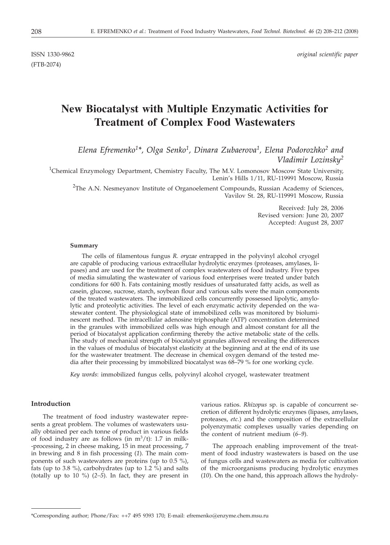(FTB-2074)

# **New Biocatalyst with Multiple Enzymatic Activities for Treatment of Complex Food Wastewaters**

# *Elena Efremenko1\*, Olga Senko1, Dinara Zubaerova1, Elena Podorozhko2 and Vladimir Lozinsky2*

<sup>1</sup>Chemical Enzymology Department, Chemistry Faculty, The M.V. Lomonosov Moscow State University, Lenin's Hills 1/11, RU-119991 Moscow, Russia

<sup>2</sup>The A.N. Nesmeyanov Institute of Organoelement Compounds, Russian Academy of Sciences, Vavilov St. 28, RU-119991 Moscow, Russia

> Received: July 28, 2006 Revised version: June 20, 2007 Accepted: August 28, 2007

#### **Summary**

The cells of filamentous fungus *R. oryzae* entrapped in the polyvinyl alcohol cryogel are capable of producing various extracellular hydrolytic enzymes (proteases, amylases, lipases) and are used for the treatment of complex wastewaters of food industry. Five types of media simulating the wastewater of various food enterprises were treated under batch conditions for 600 h. Fats containing mostly residues of unsaturated fatty acids, as well as casein, glucose, sucrose, starch, soybean flour and various salts were the main components of the treated wastewaters. The immobilized cells concurrently possessed lipolytic, amylolytic and proteolytic activities. The level of each enzymatic activity depended on the wastewater content. The physiological state of immobilized cells was monitored by bioluminescent method. The intracellular adenosine triphosphate (ATP) concentration determined in the granules with immobilized cells was high enough and almost constant for all the period of biocatalyst application confirming thereby the active metabolic state of the cells. The study of mechanical strength of biocatalyst granules allowed revealing the differences in the values of modulus of biocatalyst elasticity at the beginning and at the end of its use for the wastewater treatment. The decrease in chemical oxygen demand of the tested media after their processing by immobilized biocatalyst was 68–79 % for one working cycle.

*Key words*: immobilized fungus cells, polyvinyl alcohol cryogel, wastewater treatment

## **Introduction**

The treatment of food industry wastewater represents a great problem. The volumes of wastewaters usually obtained per each tonne of product in various fields of food industry are as follows (in  $m^3/t$ ): 1.7 in milk--processing, 2 in cheese making, 15 in meat processing, 7 in brewing and 8 in fish processing (*1*). The main components of such wastewaters are proteins (up to 0.5 %), fats (up to 3.8 %), carbohydrates (up to 1.2 %) and salts (totally up to 10 %) (*2–5*). In fact, they are present in various ratios. *Rhizopus* sp. is capable of concurrent secretion of different hydrolytic enzymes (lipases, amylases, proteases, *etc*.) and the composition of the extracellular polyenzymatic complexes usually varies depending on the content of nutrient medium (*6–9*).

The approach enabling improvement of the treatment of food industry wastewaters is based on the use of fungus cells and wastewaters as media for cultivation of the microorganisms producing hydrolytic enzymes (*10*). On the one hand, this approach allows the hydroly-

<sup>\*</sup>Corresponding author; Phone/Fax: ++7 495 9393 170; E-mail: efremenko*@*enzyme.chem.msu.ru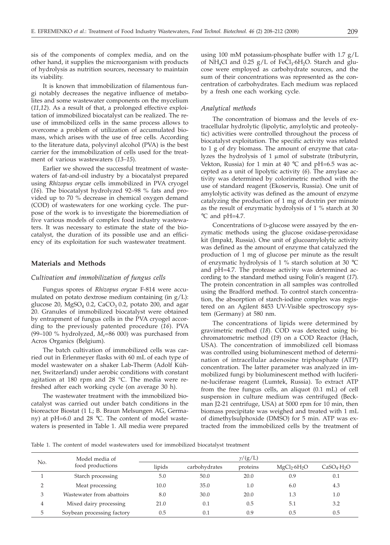sis of the components of complex media, and on the other hand, it supplies the microorganism with products of hydrolysis as nutrition sources, necessary to maintain its viability.

It is known that immobilization of filamentous fungi notably decreases the negative influence of metabolites and some wastewater components on the mycelium (*11,12*). As a result of that, a prolonged effective exploitation of immobilized biocatalyst can be realized. The reuse of immobilized cells in the same process allows to overcome a problem of utilization of accumulated biomass, which arises with the use of free cells. According to the literature data, polyvinyl alcohol (PVA) is the best carrier for the immobilization of cells used for the treatment of various wastewaters (*13–15*).

Earlier we showed the successful treatment of wastewaters of fat-and-oil industry by a biocatalyst prepared using *Rhizopus oryzae* cells immobilized in PVA cryogel (*16*). The biocatalyst hydrolyzed 92–98 % fats and provided up to 70 % decrease in chemical oxygen demand (COD) of wastewaters for one working cycle. The purpose of the work is to investigate the bioremediation of five various models of complex food industry wastewaters. It was necessary to estimate the state of the biocatalyst, the duration of its possible use and an efficiency of its exploitation for such wastewater treatment.

# **Materials and Methods**

# *Cultivation and immobilization of fungus cells*

Fungus spores of *Rhizopus oryzae* F-814 were accumulated on potato dextrose medium containing (in g/L): glucose 20, MgSO<sub>4</sub> 0.2, CaCO<sub>3</sub> 0.2, potato 200, and agar 20. Granules of immobilized biocatalyst were obtained by entrapment of fungus cells in the PVA cryogel according to the previously patented procedure (*16*). PVA (99–100  $\%$  hydrolyzed,  $M_r$ =86 000) was purchased from Acros Organics (Belgium).

The batch cultivation of immobilized cells was carried out in Erlenmeyer flasks with 60 mL of each type of model wastewater on a shaker Lab-Therm (Adolf Kühner, Switzerland) under aerobic conditions with constant agitation at 180 rpm and 28 °C. The media were refreshed after each working cycle (on average 30 h).

The wastewater treatment with the immobilized biocatalyst was carried out under batch conditions in the bioreactor Biostat (1 L; B. Braun Melsungen AG, Germany) at pH=6.0 and 28 °C. The content of model wastewaters is presented in Table 1. All media were prepared

using 100 mM potassium-phosphate buffer with 1.7 g/L of NH<sub>4</sub>Cl and 0.25  $g/L$  of FeCl<sub>3</sub>·6H<sub>2</sub>O. Starch and glucose were employed as carbohydrate sources, and the sum of their concentrations was represented as the concentration of carbohydrates. Each medium was replaced by a fresh one each working cycle.

#### *Analytical methods*

The concentration of biomass and the levels of extracellular hydrolytic (lipolytic, amylolytic and proteolytic) activities were controlled throughout the process of biocatalyst exploitation. The specific activity was related to 1 g of dry biomass. The amount of enzyme that catalyzes the hydrolysis of  $1 \mu$ mol of substrate (tributyrin, Vekton, Russia) for 1 min at 40  $^{\circ}$ C and pH=6.5 was accepted as a unit of lipolytic activity (*6*). The amylase activity was determined by colorimetric method with the use of standard reagent (Ekoservis, Russia). One unit of amylolytic activity was defined as the amount of enzyme catalyzing the production of 1 mg of dextrin per minute as the result of enzymatic hydrolysis of 1 % starch at 30 °C and pH=4.7.

Concentrations of D-glucose were assayed by the enzymatic methods using the glucose oxidase-peroxidase kit (Impakt, Russia). One unit of glucoamylolytic activity was defined as the amount of enzyme that catalyzed the production of 1 mg of glucose per minute as the result of enzymatic hydrolysis of 1 % starch solution at 30 °C and pH=4.7. The protease activity was determined according to the standard method using Folin's reagent (*17*). The protein concentration in all samples was controlled using the Bradford method. To control starch concentration, the absorption of starch-iodine complex was registered on an Agilent 8453 UV-Visible spectroscopy system (Germany) at 580 nm.

The concentrations of lipids were determined by gravimetric method (*18*). COD was detected using bichromatometric method (*19*) on a COD Reactor (Hach, USA). The concentration of immobilized cell biomass was controlled using bioluminescent method of determination of intracellular adenosine triphosphate (ATP) concentration. The latter parameter was analyzed in immobilized fungi by bioluminescent method with luciferine-luciferase reagent (Lumtek, Russia). To extract ATP from the free fungus cells, an aliquot (0.1 mL) of cell suspension in culture medium was centrifuged (Beckman J2-21 centrifuge, USA) at 5000 rpm for 10 min, then biomass precipitate was weighed and treated with 1 mL of dimethylsulphoxide (DMSO) for 5 min. ATP was extracted from the immobilized cells by the treatment of

Table 1. The content of model wastewaters used for immobilized biocatalyst treatment

| No.           | Model media of             | $\gamma/(g/L)$ |               |          |                                      |                                     |  |  |  |  |
|---------------|----------------------------|----------------|---------------|----------|--------------------------------------|-------------------------------------|--|--|--|--|
|               | food productions           | lipids         | carbohydrates | proteins | MgCl <sub>2</sub> ·6H <sub>2</sub> O | CaSO <sub>4</sub> ·H <sub>2</sub> O |  |  |  |  |
|               | Starch processing          | 5.0            | 50.0          | 20.0     | 0.9                                  | 0.1                                 |  |  |  |  |
| $\mathcal{P}$ | Meat processing            | 10.0           | 35.0          | $1.0\,$  | 6.0                                  | 4.3                                 |  |  |  |  |
| 3             | Wastewater from abattoirs  | 8.0            | 30.0          | 20.0     | 1.3                                  | 1.0                                 |  |  |  |  |
| 4             | Mixed dairy processing     | 21.0           | 0.1           | 0.5      | 5.1                                  | 3.2                                 |  |  |  |  |
| 5             | Soybean processing factory | 0.5            | 0.1           | 0.9      | 0.5                                  | 0.5                                 |  |  |  |  |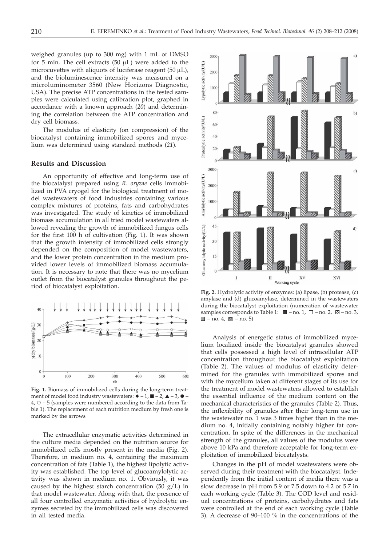weighed granules (up to 300 mg) with 1 mL of DMSO for 5 min. The cell extracts (50  $\mu$ L) were added to the microcuvettes with aliquots of luciferase reagent  $(50 \mu L)$ , and the bioluminescence intensity was measured on a microluminometer 3560 (New Horizons Diagnostic, USA). The precise ATP concentrations in the tested samples were calculated using calibration plot, graphed in accordance with a known approach (*20*) and determining the correlation between the ATP concentration and dry cell biomass.

The modulus of elasticity (on compression) of the biocatalyst containing immobilized spores and mycelium was determined using standard methods (*21*).

# **Results and Discussion**

An opportunity of effective and long-term use of the biocatalyst prepared using *R. oryzae* cells immobilized in PVA cryogel for the biological treatment of model wastewaters of food industries containing various complex mixtures of proteins, fats and carbohydrates was investigated. The study of kinetics of immobilized biomass accumulation in all tried model wastewaters allowed revealing the growth of immobilized fungus cells for the first 100 h of cultivation (Fig. 1). It was shown that the growth intensity of immobilized cells strongly depended on the composition of model wastewaters, and the lower protein concentration in the medium provided lower levels of immobilized biomass accumulation. It is necessary to note that there was no mycelium outlet from the biocatalyst granules throughout the period of biocatalyst exploitation.



**Fig. 1.** Biomass of immobilized cells during the long-term treatment of model food industry wastewaters:  $\blacklozenge -1$ ,  $\blacksquare -2$ ,  $\blacktriangle -3$ ,  $\blacklozenge 4, \circ$  – 5 (samples were numbered according to the data from Table 1). The replacement of each nutrition medium by fresh one is marked by the arrows

The extracellular enzymatic activities determined in the culture media depended on the nutrition source for immobilized cells mostly present in the media (Fig. 2). Therefore, in medium no. 4, containing the maximum concentration of fats (Table 1), the highest lipolytic activity was established. The top level of glucoamylolytic activity was shown in medium no. 1. Obviously, it was caused by the highest starch concentration (50  $g/L$ ) in that model wastewater. Along with that, the presence of all four controlled enzymatic activities of hydrolytic enzymes secreted by the immobilized cells was discovered in all tested media.



**Fig. 2.** Hydrolytic activity of enzymes: (a) lipase, (b) protease, (c) amylase and (d) glucoamylase, determined in the wastewaters during the biocatalyst exploitation (numeration of wastewater samples corresponds to Table 1:  $\blacksquare$  -no. 1,  $\Box$  -no. 2,  $\mathbb{S}$  -no. 3,  $\Box$  – no. 4,  $\boxtimes$  – no. 5)

Analysis of energetic status of immobilized mycelium localized inside the biocatalyst granules showed that cells possessed a high level of intracellular ATP concentration throughout the biocatalyst exploitation (Table 2). The values of modulus of elasticity determined for the granules with immobilized spores and with the mycelium taken at different stages of its use for the treatment of model wastewaters allowed to establish the essential influence of the medium content on the mechanical characteristics of the granules (Table 2). Thus, the inflexibility of granules after their long-term use in the wastewater no. 1 was 3 times higher than in the medium no. 4, initially containing notably higher fat concentration. In spite of the differences in the mechanical strength of the granules, all values of the modulus were above 10 kPa and therefore acceptable for long-term exploitation of immobilized biocatalysts.

Changes in the pH of model wastewaters were observed during their treatment with the biocatalyst. Independently from the initial content of media there was a slow decrease in pH from 5.9 or 7.5 down to 4.2 or 5.7 in each working cycle (Table 3). The COD level and residual concentrations of proteins, carbohydrates and fats were controlled at the end of each working cycle (Table 3). A decrease of 90–100 % in the concentrations of the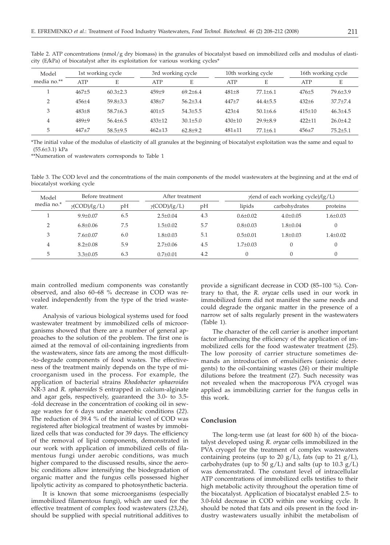| Table 2. ATP concentrations (nmol/g dry biomass) in the granules of biocatalyst based on immobilized cells and modulus of elasti- |  |  |  |  |  |
|-----------------------------------------------------------------------------------------------------------------------------------|--|--|--|--|--|
| city (E/kPa) of biocatalyst after its exploitation for various working cycles*                                                    |  |  |  |  |  |

| Model       | 1st working cycle |                |                   | 3rd working cycle |  | 10th working cycle |                | 16th working cycle |                |
|-------------|-------------------|----------------|-------------------|-------------------|--|--------------------|----------------|--------------------|----------------|
| media no.** | <b>ATP</b>        | E              | <b>ATP</b>        | E                 |  | <b>ATP</b>         | E              | <b>ATP</b>         | Ε              |
|             | $467 + 5$         | $60.3 \pm 2.3$ | $459 + 9$         | $69.2{\pm}6.4$    |  | $481 + 8$          | $77.1 \pm 6.1$ | $476 + 5$          | $79.6 + 3.9$   |
| ∍           | $456 + 4$         | $59.8 + 3.3$   | 438 <sup>±7</sup> | $56.2{\pm}3.4$    |  | $447 + 7$          | $44.4 + 5.5$   | $432 + 6$          | $37.7 + 7.4$   |
| 3           | $483+8$           | $58.7 + 6.3$   | $401 \pm 5$       | $54.3 \pm 5.5$    |  | $423 + 4$          | $50.1 \pm 6.6$ | $415 \pm 10$       | $46.3 \pm 4.5$ |
| 4           | $489+9$           | $56.4{\pm}6.5$ | $433 \pm 12$      | $30.1 \pm 5.0$    |  | $430 \pm 10$       | $29.9 + 8.9$   | $422 + 11$         | $26.0 + 4.2$   |
| 5           | $447+7$           | $58.5 + 9.5$   | $462 \pm 13$      | $62.8 \pm 9.2$    |  | $481 + 11$         | $77.1 \pm 6.1$ | $456 + 7$          | $75.2 \pm 5.1$ |

\*The initial value of the modulus of elasticity of all granules at the beginning of biocatalyst exploitation was the same and equal to (55.6±3.1) kPa

\*\*Numeration of wastewaters corresponds to Table 1

Table 3. The COD level and the concentrations of the main components of the model wastewaters at the beginning and at the end of biocatalyst working cycle

| Model        | Before treatment     |     | After treatment      |     |                | $\gamma$ (end of each working cycle)/(g/L) |                |  |  |
|--------------|----------------------|-----|----------------------|-----|----------------|--------------------------------------------|----------------|--|--|
| media no.*   | $\gamma$ (COD)/(g/L) | pН  | $\gamma$ (COD)/(g/L) | pH  | lipids         | carbohydrates                              | proteins       |  |  |
|              | $9.9 + 0.07$         | 6.5 | $2.5+0.04$           | 4.3 | $0.6 + 0.02$   | $4.0+0.05$                                 | $1.6 \pm 0.03$ |  |  |
| <sup>-</sup> | $6.8 \pm 0.06$       | 7.5 | $1.5 + 0.02$         | 5.7 | $0.8 \pm 0.03$ | $1.8 \pm 0.04$                             | $\mathbf{0}$   |  |  |
| 3            | $7.6 + 0.07$         | 6.0 | $1.8 + 0.03$         | 5.1 | $0.5 + 0.01$   | $1.8 \pm 0.03$                             | $1.4 \pm 0.02$ |  |  |
| 4            | $8.2 \pm 0.08$       | 5.9 | $2.7+0.06$           | 4.5 | $1.7+0.03$     |                                            | $\theta$       |  |  |
| 5            | $3.3 \pm 0.05$       | 6.3 | $0.7+0.01$           | 4.2 | $\Omega$       |                                            | 0              |  |  |

main controlled medium components was constantly observed, and also 60–68 % decrease in COD was revealed independently from the type of the tried wastewater.

Analysis of various biological systems used for food wastewater treatment by immobilized cells of microorganisms showed that there are a number of general approaches to the solution of the problem. The first one is aimed at the removal of oil-containing ingredients from the wastewaters, since fats are among the most difficult- -to-degrade components of food wastes. The effectiveness of the treatment mainly depends on the type of microorganism used in the process. For example, the application of bacterial strains *Rhodobacter sphaeroides* NR-3 and *R. sphaeroides* S entrapped in calcium-alginate and agar gels, respectively, guaranteed the 3.0- to 3.5- -fold decrease in the concentration of cooking oil in sewage wastes for 6 days under anaerobic conditions (*22*). The reduction of 39.4 % of the initial level of COD was registered after biological treatment of wastes by immobilized cells that was conducted for 39 days. The efficiency of the removal of lipid components, demonstrated in our work with application of immobilized cells of filamentous fungi under aerobic conditions, was much higher compared to the discussed results, since the aerobic conditions allow intensifying the biodegradation of organic matter and the fungus cells possessed higher lipolytic activity as compared to photosynthetic bacteria.

It is known that some microorganisms (especially immobilized filamentous fungi), which are used for the effective treatment of complex food wastewaters (*23,24*), should be supplied with special nutritional additives to

provide a significant decrease in COD (85–100 %). Contrary to that, the *R. oryzae* cells used in our work in immobilized form did not manifest the same needs and could degrade the organic matter in the presence of a narrow set of salts regularly present in the wastewaters (Table 1).

The character of the cell carrier is another important factor influencing the efficiency of the application of immobilized cells for the food wastewater treatment (*25*). The low porosity of carrier structure sometimes demands an introduction of emulsifiers (anionic detergents) to the oil-containing wastes (*26*) or their multiple dilutions before the treatment (*27*). Such necessity was not revealed when the macroporous PVA cryogel was applied as immobilizing carrier for the fungus cells in this work.

# **Conclusion**

The long-term use (at least for 600 h) of the biocatalyst developed using *R. oryzae* cells immobilized in the PVA cryogel for the treatment of complex wastewaters containing proteins (up to 20  $g/L$ ), fats (up to 21  $g/L$ ), carbohydrates (up to 50 g/L) and salts (up to 10.3 g/L) was demonstrated. The constant level of intracellular ATP concentrations of immobilized cells testifies to their high metabolic activity throughout the operation time of the biocatalyst. Application of biocatalyst enabled 2.5- to 3.0-fold decrease in COD within one working cycle. It should be noted that fats and oils present in the food industry wastewaters usually inhibit the metabolism of